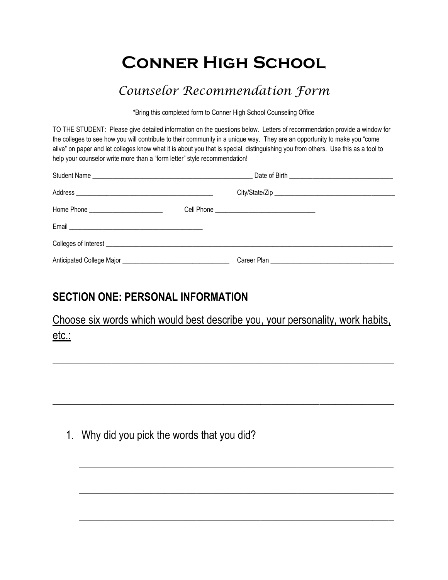# **Conner High School**

## *Counselor Recommendation Form*

\*Bring this completed form to Conner High School Counseling Office

TO THE STUDENT: Please give detailed information on the questions below. Letters of recommendation provide a window for the colleges to see how you will contribute to their community in a unique way. They are an opportunity to make you "come alive" on paper and let colleges know what it is about you that is special, distinguishing you from others. Use this as a tool to help your counselor write more than a "form letter" style recommendation!

## **SECTION ONE: PERSONAL INFORMATION**

Choose six words which would best describe you, your personality, work habits, etc.:

 $\overline{\phantom{a}}$  , and the contribution of the contribution of the contribution of the contribution of the contribution of the contribution of the contribution of the contribution of the contribution of the contribution of the

\_\_\_\_\_\_\_\_\_\_\_\_\_\_\_\_\_\_\_\_\_\_\_\_\_\_\_\_\_\_\_\_\_\_\_\_\_\_\_\_\_\_\_\_\_\_\_\_\_\_\_\_\_\_\_\_\_\_\_\_\_\_\_\_

 $\overline{\phantom{a}}$  , and the contribution of the contribution of the contribution of the contribution of the contribution of the contribution of the contribution of the contribution of the contribution of the contribution of the

 $\overline{\phantom{a}}$  , and the contribution of the contribution of the contribution of the contribution of the contribution of the contribution of the contribution of the contribution of the contribution of the contribution of the

 $\overline{\phantom{a}}$  , and the contribution of the contribution of the contribution of the contribution of the contribution of the contribution of the contribution of the contribution of the contribution of the contribution of the

1. Why did you pick the words that you did?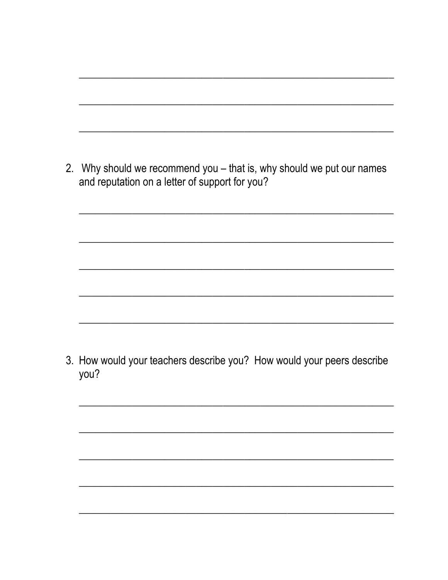| 2. Why should we recommend you – that is, why should we put our names |
|-----------------------------------------------------------------------|
| and reputation on a letter of support for you?                        |

3. How would your teachers describe you? How would your peers describe you?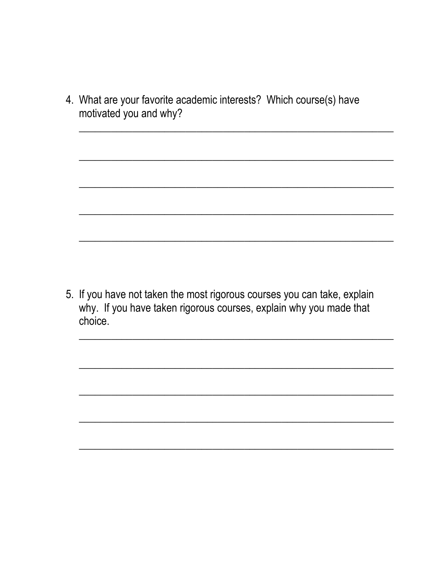4. What are your favorite academic interests? Which course(s) have motivated you and why?

5. If you have not taken the most rigorous courses you can take, explain why. If you have taken rigorous courses, explain why you made that choice.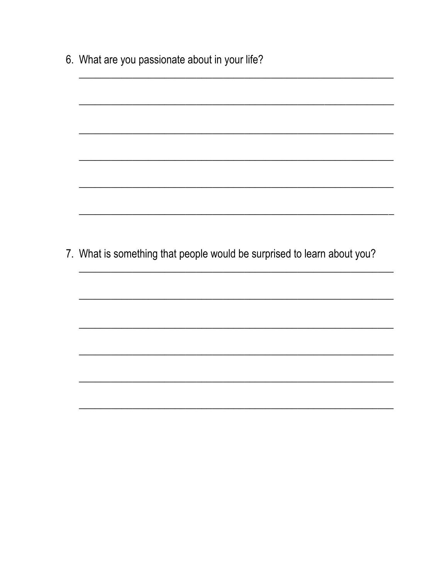| 7. What is something that people would be surprised to learn about you? |
|-------------------------------------------------------------------------|
|                                                                         |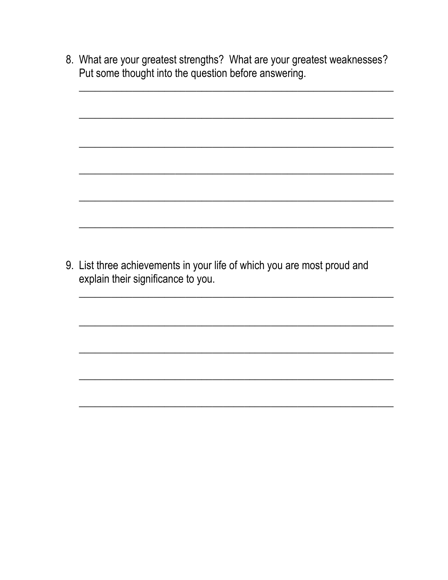8. What are your greatest strengths? What are your greatest weaknesses? Put some thought into the question before answering.

9. List three achievements in your life of which you are most proud and explain their significance to you.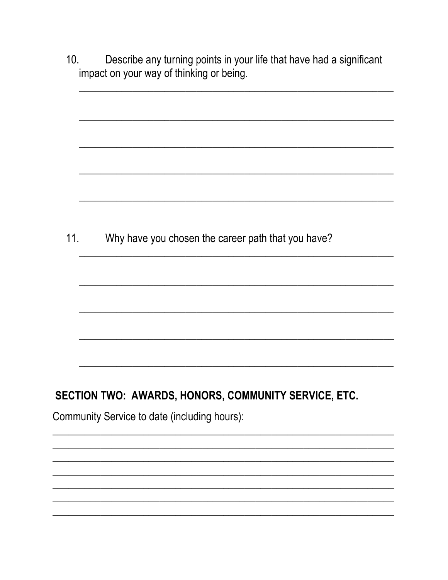| 10. | Describe any turning points in your life that have had a significant<br>impact on your way of thinking or being. |
|-----|------------------------------------------------------------------------------------------------------------------|
|     |                                                                                                                  |
|     |                                                                                                                  |
|     |                                                                                                                  |
| 11. | Why have you chosen the career path that you have?                                                               |
|     |                                                                                                                  |
|     |                                                                                                                  |
|     |                                                                                                                  |
|     |                                                                                                                  |
|     | SECTION TWO: AWARDS, HONORS, COMMUNITY SERVICE, ETC.                                                             |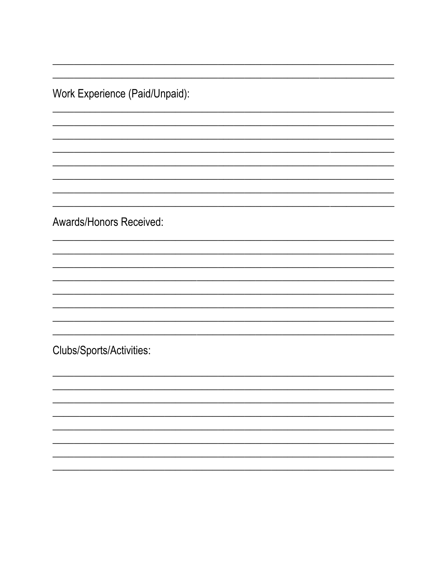Work Experience (Paid/Unpaid):

Awards/Honors Received:

Clubs/Sports/Activities: